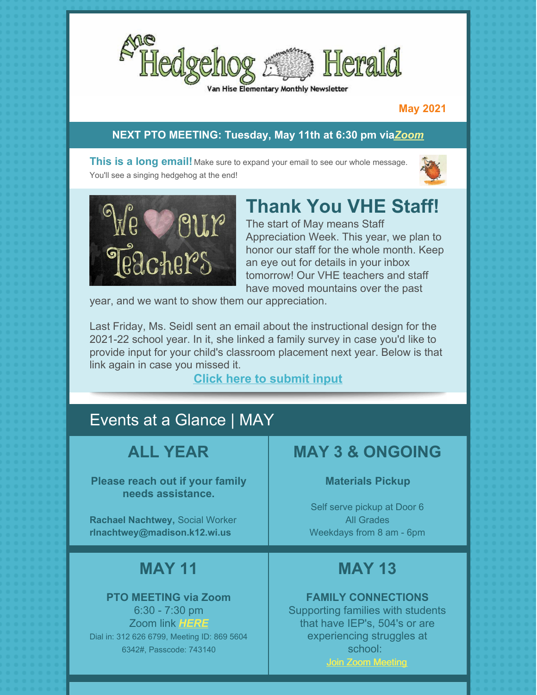

an Hise Elementary Monthly Newsletter

#### **May 2021**

### **NEXT PTO MEETING: Tuesday, May 11th at 6:30 pm via***[Zoom](https://us02web.zoom.us/j/86956046342?pwd=ZEc2L08vcG9QeWFDdHZLeTBwU0Nzdz09)*

**This is a long email!** Make sure to expand your email to see our whole message. You'll see a singing hedgehog at the end!





# **Thank You VHE Staff!**

The start of May means Staff Appreciation Week. This year, we plan to honor our staff for the whole month. Keep an eye out for details in your inbox tomorrow! Our VHE teachers and staff have moved mountains over the past

year, and we want to show them our appreciation.

Last Friday, Ms. Seidl sent an email about the instructional design for the 2021-22 school year. In it, she linked a family survey in case you'd like to provide input for your child's classroom placement next year. Below is that link again in case you missed it.

## **Click here to [submit](https://docs.google.com/forms/d/e/1FAIpQLSdo2W6ZQtg6sHJdV7Z2wjqsNUolF2VhIBqb9ZM5qmMpVvRBwA/viewform?gxids=7628) input**

# Events at a Glance | MAY

## **ALL YEAR**

**Please reach out if your family needs assistance.**

**Rachael Nachtwey,** Social Worker **[rlnachtwey@madison.k12.wi.us](mailto:rlnachtwey@madison.k12.wi.us)**

# **MAY 11**

#### **PTO MEETING via Zoom** 6:30 - 7:30 pm Zoom link *[HERE](https://us02web.zoom.us/j/86956046342?pwd=ZEc2L08vcG9QeWFDdHZLeTBwU0Nzdz09)*

Dial in: 312 626 6799, Meeting ID: 869 5604 6342#, Passcode: 743140

# **MAY 3 & ONGOING**

#### **Materials Pickup**

Self serve pickup at Door 6 All Grades Weekdays from 8 am - 6pm

# **MAY 13**

**FAMILY CONNECTIONS** Supporting families with students that have IEP's, 504's or are experiencing struggles at school: Join Zoom [Meeting](https://www.google.com/url?q=https://zoom.us/j/97186141188&sa=D&source=calendar&ust=1620226685111000&usg=AOvVaw1NfZvWwzUpleKHcLdZ7wEN)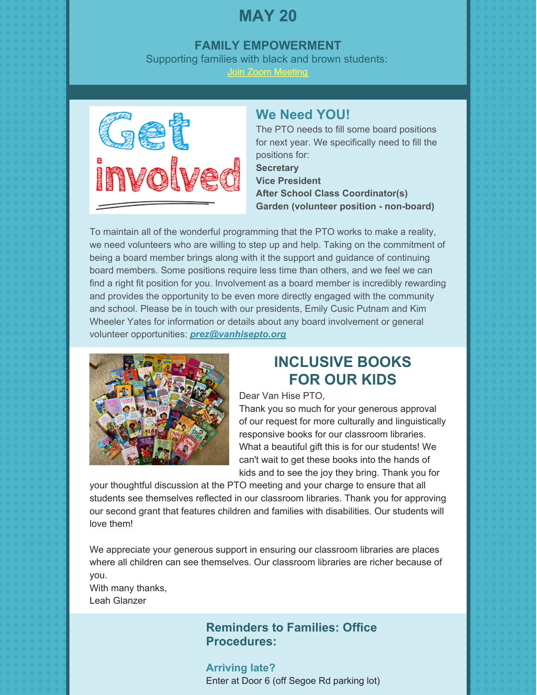# **MAY 20**

### **FAMILY EMPOWERMENT**

Supporting families with black and brown students:

Join Zoom [Meeting](https://www.google.com/url?q=https://zoom.us/j/91012527454&sa=D&source=calendar&ust=1620226685111000&usg=AOvVaw35dYsKydECH-_cOt_qqpGe)



## **We Need YOU!**

The PTO needs to fill some board positions for next year. We specifically need to fill the positions for: **Secretary**

**Vice President After School Class Coordinator(s) Garden (volunteer position - non-board)**

To maintain all of the wonderful programming that the PTO works to make a reality, we need volunteers who are willing to step up and help. Taking on the commitment of being a board member brings along with it the support and guidance of continuing board members. Some positions require less time than others, and we feel we can find a right fit position for you. Involvement as a board member is incredibly rewarding and provides the opportunity to be even more directly engaged with the community and school. Please be in touch with our presidents, Emily Cusic Putnam and Kim Wheeler Yates for information or details about any board involvement or general volunteer opportunities: *[prez@vanhisepto.org](mailto:prez@vanhisepto.org)*



# **INCLUSIVE BOOKS FOR OUR KIDS**

Dear Van Hise PTO,

Thank you so much for your generous approval of our request for more culturally and linguistically responsive books for our classroom libraries. What a beautiful gift this is for our students! We can't wait to get these books into the hands of kids and to see the joy they bring. Thank you for

your thoughtful discussion at the PTO meeting and your charge to ensure that all students see themselves reflected in our classroom libraries. Thank you for approving our second grant that features children and families with disabilities. Our students will love them!

We appreciate your generous support in ensuring our classroom libraries are places where all children can see themselves. Our classroom libraries are richer because of you.

With many thanks, Leah Glanzer

## **Reminders to Families: Office Procedures:**

#### **Arriving late?**

Enter at Door 6 (off Segoe Rd parking lot)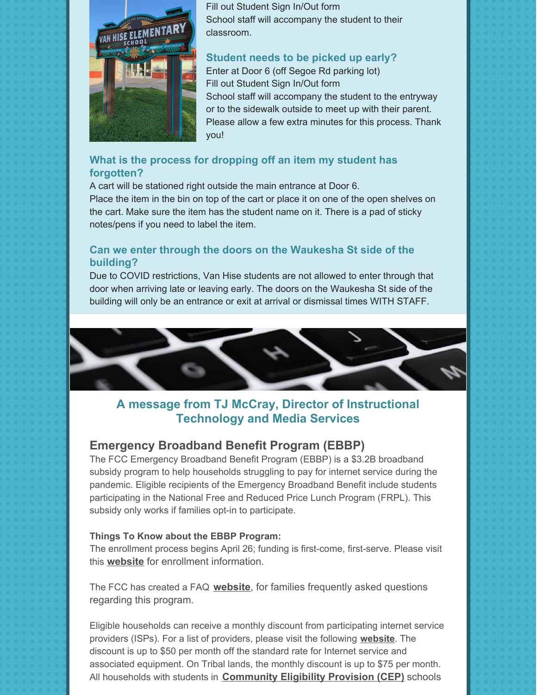

Fill out Student Sign In/Out form School staff will accompany the student to their classroom.

# **Student needs to be picked up early?**

Enter at Door 6 (off Segoe Rd parking lot) Fill out Student Sign In/Out form School staff will accompany the student to the entryway or to the sidewalk outside to meet up with their parent. Please allow a few extra minutes for this process. Thank you!

#### **What is the process for dropping off an item my student has forgotten?**

A cart will be stationed right outside the main entrance at Door 6. Place the item in the bin on top of the cart or place it on one of the open shelves on the cart. Make sure the item has the student name on it. There is a pad of sticky notes/pens if you need to label the item.

#### **Can we enter through the doors on the Waukesha St side of the building?**

Due to COVID restrictions, Van Hise students are not allowed to enter through that door when arriving late or leaving early. The doors on the Waukesha St side of the building will only be an entrance or exit at arrival or dismissal times WITH STAFF.



## **A message from TJ McCray, Director of Instructional Technology and Media Services**

## **Emergency Broadband Benefit Program (EBBP)**

The FCC Emergency Broadband Benefit Program (EBBP) is a \$3.2B broadband subsidy program to help households struggling to pay for internet service during the pandemic. Eligible recipients of the Emergency Broadband Benefit include students participating in the National Free and Reduced Price Lunch Program (FRPL). This subsidy only works if families opt-in to participate.

#### **Things To Know about the EBBP Program:**

The enrollment process begins April 26; funding is first-come, first-serve. Please visit this **[website](https://www.fcc.gov/broadbandbenefit)** for enrollment information.

The FCC has created a FAQ **[website](https://www.fcc.gov/consumer-faq-emergency-broadband-benefit)**, for families frequently asked questions regarding this program.

Eligible households can receive a monthly discount from participating internet service providers (ISPs). For a list of providers, please visit the following **[website](https://www.fcc.gov/emergency-broadband-benefit-providers#top)**. The discount is up to \$50 per month off the standard rate for Internet service and associated equipment. On Tribal lands, the monthly discount is up to \$75 per month. All households with students in **[Community](https://food.madison.k12.wi.us/community-eligibility-program-schools-cep) Eligibility Provision (CEP)** schools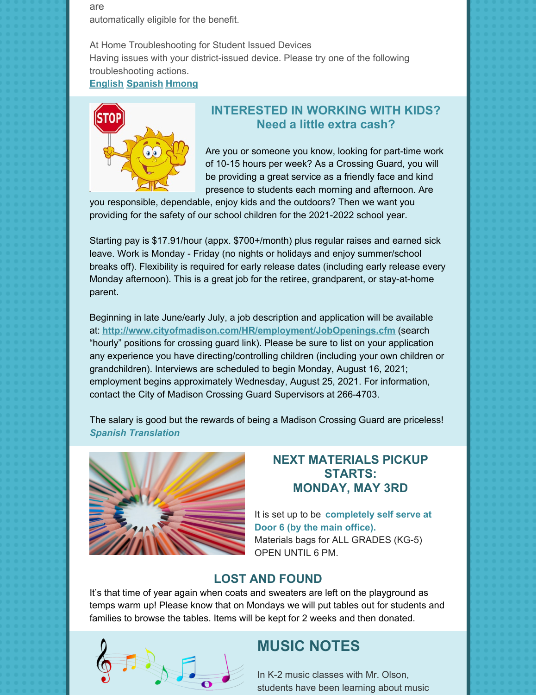are

automatically eligible for the benefit.

At Home Troubleshooting for Student Issued Devices Having issues with your district-issued device. Please try one of the following troubleshooting actions.

#### **[English](https://docs.google.com/drawings/d/11ok5u7iFK8r1PtZ5cVeKLOHFSbfRzxpjy34mQroS554/edit) [Spanish](https://docs.google.com/drawings/d/1dAWg1SqjNqX_bkQPYDX4BkFRfHOTeaPYUrEbHEJ1Vbg/edit) [Hmong](https://docs.google.com/drawings/d/1tcW0CVJpzGNzbbtYio3XgL1ipnL7Eh9r4lEN3JKIYVk/edit)**



### **INTERESTED IN WORKING WITH KIDS? Need a little extra cash?**

Are you or someone you know, looking for part-time work of 10-15 hours per week? As a Crossing Guard, you will be providing a great service as a friendly face and kind presence to students each morning and afternoon. Are

you responsible, dependable, enjoy kids and the outdoors? Then we want you providing for the safety of our school children for the 2021-2022 school year.

Starting pay is \$17.91/hour (appx. \$700+/month) plus regular raises and earned sick leave. Work is Monday - Friday (no nights or holidays and enjoy summer/school breaks off). Flexibility is required for early release dates (including early release every Monday afternoon). This is a great job for the retiree, grandparent, or stay-at-home parent.

Beginning in late June/early July, a job description and application will be available at: **<http://www.cityofmadison.com/HR/employment/JobOpenings.cfm>** (search "hourly" positions for crossing guard link). Please be sure to list on your application any experience you have directing/controlling children (including your own children or grandchildren). Interviews are scheduled to begin Monday, August 16, 2021; employment begins approximately Wednesday, August 25, 2021. For information, contact the City of Madison Crossing Guard Supervisors at 266-4703.

The salary is good but the rewards of being a Madison Crossing Guard are priceless! *Spanish [Translation](https://files.constantcontact.com/a35ed802501/f1bda902-38b2-4c38-96e1-265495b80676.pdf)*



#### **NEXT MATERIALS PICKUP STARTS: MONDAY, MAY 3RD**

It is set up to be **completely self serve at Door 6 (by the main office).** Materials bags for ALL GRADES (KG-5) OPEN UNTIL 6 PM.

## **LOST AND FOUND**

It's that time of year again when coats and sweaters are left on the playground as temps warm up! Please know that on Mondays we will put tables out for students and families to browse the tables. Items will be kept for 2 weeks and then donated.



## **MUSIC NOTES**

In K-2 music classes with Mr. Olson, students have been learning about music